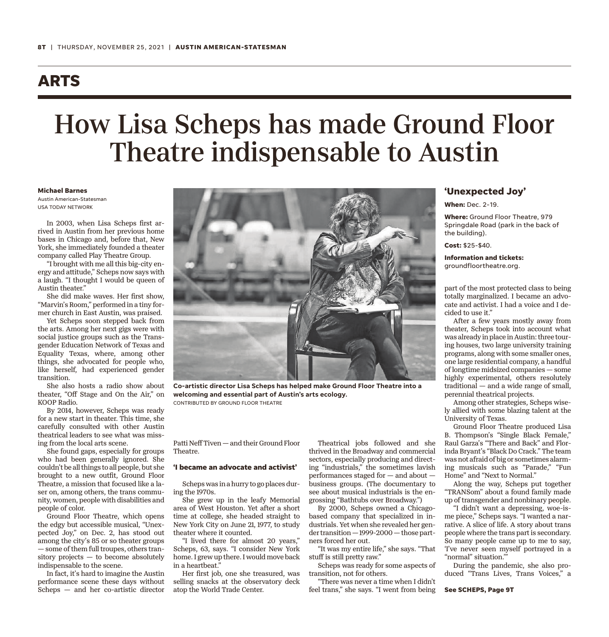### **ARTS**

# How Lisa Scheps has made Ground Floor Theatre indispensable to Austin

#### **Michael Barnes**

Austin American-Statesman USA TODAY NETWORK

In 2003, when Lisa Scheps first arrived in Austin from her previous home bases in Chicago and, before that, New York, she immediately founded a theater company called Play Theatre Group.

"I brought with me all this big-city energy and attitude," Scheps now says with a laugh. "I thought I would be queen of Austin theater."

She did make waves. Her first show, "Marvin's Room," performed in a tiny former church in East Austin, was praised.

Yet Scheps soon stepped back from the arts. Among her next gigs were with social justice groups such as the Transgender Education Network of Texas and Equality Texas, where, among other things, she advocated for people who, like herself, had experienced gender transition.

She also hosts a radio show about theater, "Off Stage and On the Air," on KOOP Radio.

By 2014, however, Scheps was ready for a new start in theater. This time, she carefully consulted with other Austin theatrical leaders to see what was missing from the local arts scene.

She found gaps, especially for groups who had been generally ignored. She couldn't be all things to all people, but she brought to a new outfit, Ground Floor Theatre, a mission that focused like a laser on, among others, the trans community, women, people with disabilities and people of color.

Ground Floor Theatre, which opens the edgy but accessible musical, "Unexpected Joy," on Dec. 2, has stood out among the city's 85 or so theater groups — some of them full troupes, others transitory projects — to become absolutely indispensable to the scene.

In fact, it's hard to imagine the Austin performance scene these days without Scheps — and her co-artistic director



**Co-artistic director Lisa Scheps has helped make Ground Floor Theatre into a welcoming and essential part of Austin's arts ecology.** CONTRIBUTED BY GROUND FLOOR THEATRE

Patti Neff Tiven — and their Ground Floor Theatre.

### **'I became an advocate and activist'**

Scheps was in a hurry to go places during the 1970s.

She grew up in the leafy Memorial area of West Houston. Yet after a short time at college, she headed straight to New York City on June 21, 1977, to study theater where it counted.

"I lived there for almost 20 years," Scheps, 63, says. "I consider New York home. I grew up there. I would move back in a heartbeat."

Her first job, one she treasured, was selling snacks at the observatory deck atop the World Trade Center.

Theatrical jobs followed and she thrived in the Broadway and commercial sectors, especially producing and directing "industrials," the sometimes lavish performances staged for — and about business groups. (The documentary to see about musical industrials is the engrossing "Bathtubs over Broadway.")

By 2000, Scheps owned a Chicagobased company that specialized in industrials. Yet when she revealed her gender transition — 1999-2000 — those partners forced her out.

"It was my entire life," she says. "That stuff is still pretty raw."

Scheps was ready for some aspects of transition, not for others.

"There was never a time when I didn't feel trans," she says. "I went from being

### **'Unexpected Joy'**

**When:** Dec. 2-19.

**Where:** Ground Floor Theatre, 979 Springdale Road (park in the back of the building).

**Cost:** \$25-\$40.

**Information and tickets:** groundfloortheatre.org.

part of the most protected class to being totally marginalized. I became an advocate and activist. I had a voice and I decided to use it."

After a few years mostly away from theater, Scheps took into account what was already in place in Austin: three touring houses, two large university training programs, along with some smaller ones, one large residential company, a handful of longtime midsized companies — some highly experimental, others resolutely traditional — and a wide range of small, perennial theatrical projects.

Among other strategies, Scheps wisely allied with some blazing talent at the University of Texas.

Ground Floor Theatre produced Lisa B. Thompson's "Single Black Female," Raul Garza's "There and Back" and Florinda Bryant's "Black Do Crack." The team was not afraid of big or sometimes alarming musicals such as "Parade," "Fun Home" and "Next to Normal."

Along the way, Scheps put together "TRANSom" about a found family made up of transgender and nonbinary people.

"I didn't want a depressing, woe-isme piece," Scheps says. "I wanted a narrative. A slice of life. A story about trans people where the trans part is secondary. So many people came up to me to say, 'I've never seen myself portrayed in a "normal" situation.'"

During the pandemic, she also produced "Trans Lives, Trans Voices," a